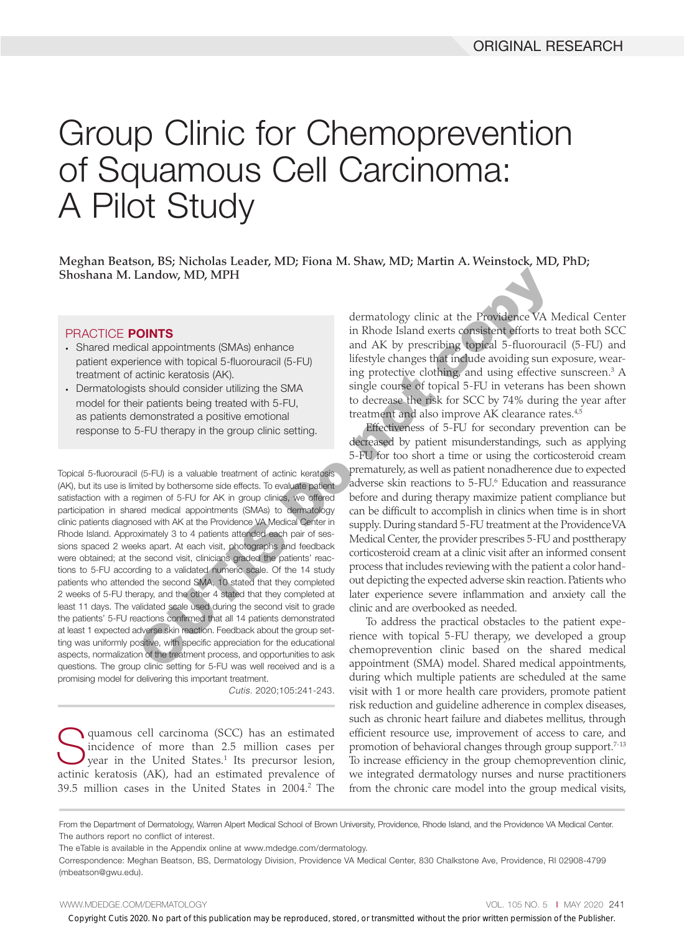# Group Clinic for Chemoprevention of Squamous Cell Carcinoma: A Pilot Study

Meghan Beatson, BS; Nicholas Leader, MD; Fiona M. Shaw, MD; Martin A. Weinstock, MD, PhD; Shoshana M. Landow, MD, MPH

#### PRACTICE POINTS

- Shared medical appointments (SMAs) enhance patient experience with topical 5-fluorouracil (5-FU) treatment of actinic keratosis (AK).
- Dermatologists should consider utilizing the SMA model for their patients being treated with 5-FU, as patients demonstrated a positive emotional response to 5-FU therapy in the group clinic setting.

Topical 5-fluorouracil (5-FU) is a valuable treatment of actinic keratosis (AK), but its use is limited by bothersome side effects. To evaluate patient satisfaction with a regimen of 5-FU for AK in group clinics, we offered participation in shared medical appointments (SMAs) to dermatology clinic patients diagnosed with AK at the Providence VA Medical Center in Rhode Island. Approximately 3 to 4 patients attended each pair of sessions spaced 2 weeks apart. At each visit, photographs and feedback were obtained; at the second visit, clinicians graded the patients' reactions to 5-FU according to a validated numeric scale. Of the 14 study patients who attended the second SMA, 10 stated that they completed 2 weeks of 5-FU therapy, and the other 4 stated that they completed at least 11 days. The validated scale used during the second visit to grade the patients' 5-FU reactions confirmed that all 14 patients demonstrated at least 1 expected adverse skin reaction. Feedback about the group setting was uniformly positive, with specific appreciation for the educational aspects, normalization of the treatment process, and opportunities to ask questions. The group clinic setting for 5-FU was well received and is a promising model for delivering this important treatment. Landow, MD, MPH dermatology clinic at the Providence VA N<br>
dermatology clinic at the Providence VA N<br>
colal appointments (SMAs) enhance<br>
in Rhode Island exerts consistent efforts to<br>
calculine kerabosis (AK).<br>
imag protec

*Cutis.* 2020;105:241-243.

Squamous cell carcinoma (SCC) has an estimated incidence of more than 2.5 million cases per year in the United States.<sup>1</sup> Its precursor lesion, actinic keratosis (AK), had an estimated prevalence of 39.5 million cases in the United States in 2004.<sup>2</sup> The dermatology clinic at the Providence VA Medical Center in Rhode Island exerts consistent efforts to treat both SCC and AK by prescribing topical 5-fluorouracil (5-FU) and lifestyle changes that include avoiding sun exposure, wearing protective clothing, and using effective sunscreen.3 A single course of topical 5-FU in veterans has been shown to decrease the risk for SCC by 74% during the year after treatment and also improve AK clearance rates.<sup>4,5</sup>

Effectiveness of 5-FU for secondary prevention can be decreased by patient misunderstandings, such as applying 5-FU for too short a time or using the corticosteroid cream prematurely, as well as patient nonadherence due to expected adverse skin reactions to 5-FU.<sup>6</sup> Education and reassurance before and during therapy maximize patient compliance but can be difficult to accomplish in clinics when time is in short supply. During standard 5-FU treatment at the Providence VA Medical Center, the provider prescribes 5-FU and posttherapy corticosteroid cream at a clinic visit after an informed consent process that includes reviewing with the patient a color handout depicting the expected adverse skin reaction. Patients who later experience severe inflammation and anxiety call the clinic and are overbooked as needed.

To address the practical obstacles to the patient experience with topical 5-FU therapy, we developed a group chemoprevention clinic based on the shared medical appointment (SMA) model. Shared medical appointments, during which multiple patients are scheduled at the same visit with 1 or more health care providers, promote patient risk reduction and guideline adherence in complex diseases, such as chronic heart failure and diabetes mellitus, through efficient resource use, improvement of access to care, and promotion of behavioral changes through group support.<sup>7-13</sup> To increase efficiency in the group chemoprevention clinic, we integrated dermatology nurses and nurse practitioners from the chronic care model into the group medical visits,

Copyright Cutis 2020. No part of this publication may be reproduced, stored, or transmitted without the prior written permission of the Publisher.

From the Department of Dermatology, Warren Alpert Medical School of Brown University, Providence, Rhode Island, and the Providence VA Medical Center. The authors report no conflict of interest.

The eTable is available in the Appendix online at www.mdedge.com/dermatology.

Correspondence: Meghan Beatson, BS, Dermatology Division, Providence VA Medical Center, 830 Chalkstone Ave, Providence, RI 02908-4799 (mbeatson@gwu.edu).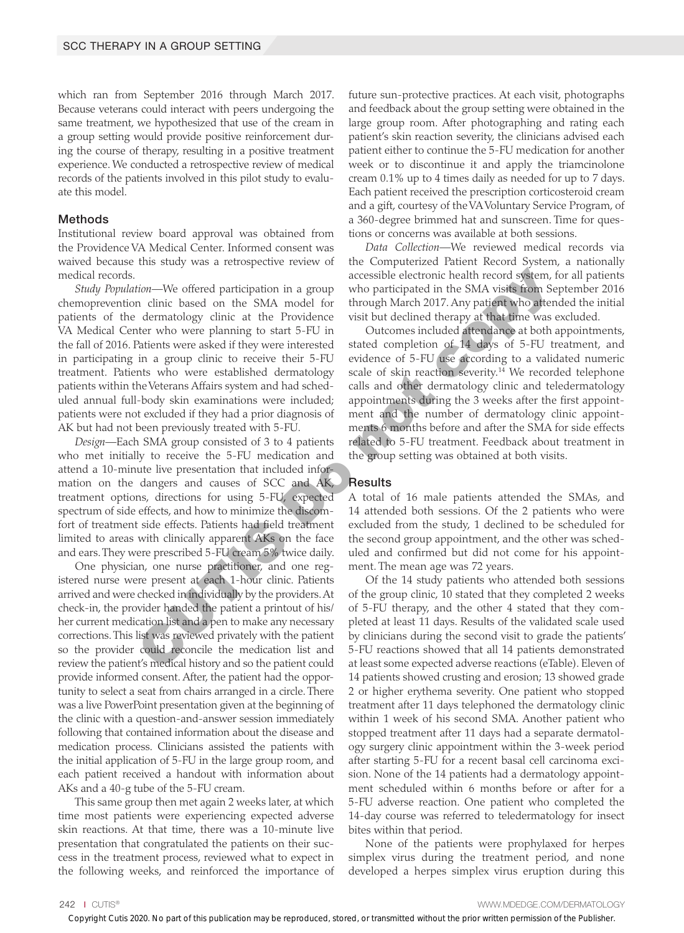which ran from September 2016 through March 2017. Because veterans could interact with peers undergoing the same treatment, we hypothesized that use of the cream in a group setting would provide positive reinforcement during the course of therapy, resulting in a positive treatment experience. We conducted a retrospective review of medical records of the patients involved in this pilot study to evaluate this model.

#### Methods

Institutional review board approval was obtained from the Providence VA Medical Center. Informed consent was waived because this study was a retrospective review of medical records.

*Study Population—*We offered participation in a group chemoprevention clinic based on the SMA model for patients of the dermatology clinic at the Providence VA Medical Center who were planning to start 5-FU in the fall of 2016. Patients were asked if they were interested in participating in a group clinic to receive their 5-FU treatment. Patients who were established dermatology patients within the Veterans Affairs system and had scheduled annual full-body skin examinations were included; patients were not excluded if they had a prior diagnosis of AK but had not been previously treated with 5-FU. accessible electronic health record system,<br>
accessible electronic health record system,<br>
norimic based on the SMA model for through March 2017. Any patient who atter<br>
dermacology clinic at the Providence visit but declin

*Design—*Each SMA group consisted of 3 to 4 patients who met initially to receive the 5-FU medication and attend a 10-minute live presentation that included information on the dangers and causes of SCC and AK, treatment options, directions for using 5-FU, expected spectrum of side effects, and how to minimize the discomfort of treatment side effects. Patients had field treatment limited to areas with clinically apparent AKs on the face and ears. They were prescribed 5-FU cream 5% twice daily.

One physician, one nurse practitioner, and one registered nurse were present at each 1-hour clinic. Patients arrived and were checked in individually by the providers. At check-in, the provider handed the patient a printout of his/ her current medication list and a pen to make any necessary corrections. This list was reviewed privately with the patient so the provider could reconcile the medication list and review the patient's medical history and so the patient could provide informed consent. After, the patient had the opportunity to select a seat from chairs arranged in a circle. There was a live PowerPoint presentation given at the beginning of the clinic with a question-and-answer session immediately following that contained information about the disease and medication process. Clinicians assisted the patients with the initial application of 5-FU in the large group room, and each patient received a handout with information about AKs and a 40-g tube of the 5-FU cream.

This same group then met again 2 weeks later, at which time most patients were experiencing expected adverse skin reactions. At that time, there was a 10-minute live presentation that congratulated the patients on their success in the treatment process, reviewed what to expect in the following weeks, and reinforced the importance of future sun-protective practices. At each visit, photographs and feedback about the group setting were obtained in the large group room. After photographing and rating each patient's skin reaction severity, the clinicians advised each patient either to continue the 5-FU medication for another week or to discontinue it and apply the triamcinolone cream 0.1% up to 4 times daily as needed for up to 7 days. Each patient received the prescription corticosteroid cream and a gift, courtesy of the VA Voluntary Service Program, of a 360-degree brimmed hat and sunscreen. Time for questions or concerns was available at both sessions.

*Data Collection—*We reviewed medical records via the Computerized Patient Record System, a nationally accessible electronic health record system, for all patients who participated in the SMA visits from September 2016 through March 2017. Any patient who attended the initial visit but declined therapy at that time was excluded.

Outcomes included attendance at both appointments, stated completion of 14 days of 5-FU treatment, and evidence of 5-FU use according to a validated numeric scale of skin reaction severity.<sup>14</sup> We recorded telephone calls and other dermatology clinic and teledermatology appointments during the 3 weeks after the first appointment and the number of dermatology clinic appointments 6 months before and after the SMA for side effects related to 5-FU treatment. Feedback about treatment in the group setting was obtained at both visits.

#### Results

A total of 16 male patients attended the SMAs, and 14 attended both sessions. Of the 2 patients who were excluded from the study, 1 declined to be scheduled for the second group appointment, and the other was scheduled and confirmed but did not come for his appointment. The mean age was 72 years.

Of the 14 study patients who attended both sessions of the group clinic, 10 stated that they completed 2 weeks of 5-FU therapy, and the other 4 stated that they completed at least 11 days. Results of the validated scale used by clinicians during the second visit to grade the patients' 5-FU reactions showed that all 14 patients demonstrated at least some expected adverse reactions (eTable). Eleven of 14 patients showed crusting and erosion; 13 showed grade 2 or higher erythema severity. One patient who stopped treatment after 11 days telephoned the dermatology clinic within 1 week of his second SMA. Another patient who stopped treatment after 11 days had a separate dermatology surgery clinic appointment within the 3-week period after starting 5-FU for a recent basal cell carcinoma excision. None of the 14 patients had a dermatology appointment scheduled within 6 months before or after for a 5-FU adverse reaction. One patient who completed the 14-day course was referred to teledermatology for insect bites within that period.

None of the patients were prophylaxed for herpes simplex virus during the treatment period, and none developed a herpes simplex virus eruption during this

242 I CUTIS® WWW.MDEDGE.COM/DERMATOLOGY

Copyright Cutis 2020. No part of this publication may be reproduced, stored, or transmitted without the prior written permission of the Publisher.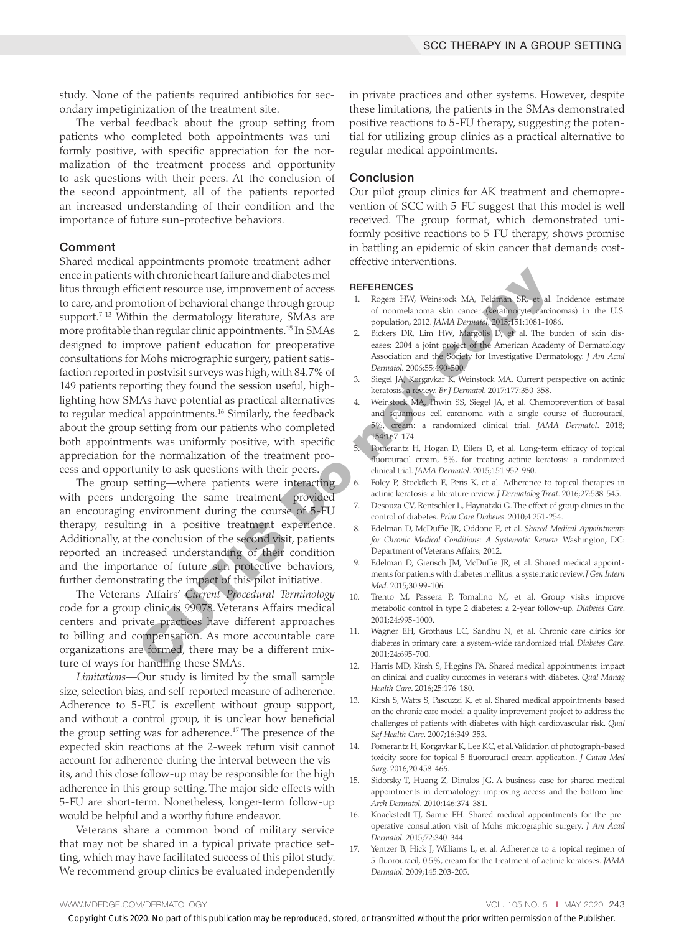study. None of the patients required antibiotics for secondary impetiginization of the treatment site.

The verbal feedback about the group setting from patients who completed both appointments was uniformly positive, with specific appreciation for the normalization of the treatment process and opportunity to ask questions with their peers. At the conclusion of the second appointment, all of the patients reported an increased understanding of their condition and the importance of future sun-protective behaviors.

#### Comment

Shared medical appointments promote treatment adherence in patients with chronic heart failure and diabetes mellitus through efficient resource use, improvement of access to care, and promotion of behavioral change through group support.<sup>7-13</sup> Within the dermatology literature, SMAs are more profitable than regular clinic appointments.15 In SMAs designed to improve patient education for preoperative consultations for Mohs micrographic surgery, patient satisfaction reported in postvisit surveys was high, with 84.7% of 149 patients reporting they found the session useful, highlighting how SMAs have potential as practical alternatives to regular medical appointments.<sup>16</sup> Similarly, the feedback about the group setting from our patients who completed both appointments was uniformly positive, with specific appreciation for the normalization of the treatment process and opportunity to ask questions with their peers. with chronic heart failure and diabetes melastics and<br>
dichert resources use, improvement of access **REFERENCES**<br>
continue dermoted access **Particular Continue and the different continue and the different continue (SMAs a** 

The group setting—where patients were interacting with peers undergoing the same treatment—provided an encouraging environment during the course of 5-FU therapy, resulting in a positive treatment experience. Additionally, at the conclusion of the second visit, patients reported an increased understanding of their condition and the importance of future sun-protective behaviors, further demonstrating the impact of this pilot initiative.

The Veterans Affairs' *Current Procedural Terminology* code for a group clinic is 99078. Veterans Affairs medical centers and private practices have different approaches to billing and compensation. As more accountable care organizations are formed, there may be a different mixture of ways for handling these SMAs.

*Limitations—*Our study is limited by the small sample size, selection bias, and self-reported measure of adherence. Adherence to 5-FU is excellent without group support, and without a control group, it is unclear how beneficial the group setting was for adherence.17 The presence of the expected skin reactions at the 2-week return visit cannot account for adherence during the interval between the visits, and this close follow-up may be responsible for the high adherence in this group setting. The major side effects with 5-FU are short-term. Nonetheless, longer-term follow-up would be helpful and a worthy future endeavor.

Veterans share a common bond of military service that may not be shared in a typical private practice setting, which may have facilitated success of this pilot study. We recommend group clinics be evaluated independently in private practices and other systems. However, despite these limitations, the patients in the SMAs demonstrated positive reactions to 5-FU therapy, suggesting the potential for utilizing group clinics as a practical alternative to regular medical appointments.

#### Conclusion

Our pilot group clinics for AK treatment and chemoprevention of SCC with 5-FU suggest that this model is well received. The group format, which demonstrated uniformly positive reactions to 5-FU therapy, shows promise in battling an epidemic of skin cancer that demands costeffective interventions.

#### **REFERENCES**

- 1. Rogers HW, Weinstock MA, Feldman SR, et al. Incidence estimate of nonmelanoma skin cancer (keratinocyte carcinomas) in the U.S. population, 2012. *JAMA Dermatol*. 2015;151:1081-1086.
- 2. Bickers DR, Lim HW, Margolis D, et al. The burden of skin diseases: 2004 a joint project of the American Academy of Dermatology Association and the Society for Investigative Dermatology. *J Am Acad Dermatol.* 2006;55:490-500.
- 3. Siegel JA, Korgavkar K, Weinstock MA. Current perspective on actinic keratosis: a review. *Br J Dermatol*. 2017;177:350-358.
- 4. Weinstock MA, Thwin SS, Siegel JA, et al. Chemoprevention of basal and squamous cell carcinoma with a single course of fluorouracil, 5%, cream: a randomized clinical trial. *JAMA Dermatol*. 2018; 154:167-174.
- 5. Pomerantz H, Hogan D, Eilers D, et al. Long-term efficacy of topical fluorouracil cream, 5%, for treating actinic keratosis: a randomized clinical trial. *JAMA Dermatol*. 2015;151:952-960.
- 6. Foley P, Stockfleth E, Peris K, et al. Adherence to topical therapies in actinic keratosis: a literature review. *J Dermatolog Treat*. 2016;27:538-545.
- 7. Desouza CV, Rentschler L, Haynatzki G. The effect of group clinics in the control of diabetes. *Prim Care Diabetes*. 2010;4:251-254.
- 8. Edelman D, McDuffie JR, Oddone E, et al. *Shared Medical Appointments for Chronic Medical Conditions: A Systematic Review.* Washington, DC: Department of Veterans Affairs; 2012.
- 9. Edelman D, Gierisch JM, McDuffie JR, et al. Shared medical appointments for patients with diabetes mellitus: a systematic review. *J Gen Intern Med*. 2015;30:99-106.
- 10. Trento M, Passera P, Tomalino M, et al. Group visits improve metabolic control in type 2 diabetes: a 2-year follow-up. *Diabetes Care*. 2001;24:995-1000.
- 11. Wagner EH, Grothaus LC, Sandhu N, et al. Chronic care clinics for diabetes in primary care: a system-wide randomized trial. *Diabetes Care*. 2001;24:695-700.
- 12. Harris MD, Kirsh S, Higgins PA. Shared medical appointments: impact on clinical and quality outcomes in veterans with diabetes. *Qual Manag Health Care*. 2016;25:176-180.
- 13. Kirsh S, Watts S, Pascuzzi K, et al. Shared medical appointments based on the chronic care model: a quality improvement project to address the challenges of patients with diabetes with high cardiovascular risk. *Qual Saf Health Care*. 2007;16:349-353.
- 14. Pomerantz H, Korgavkar K, Lee KC, et al. Validation of photograph-based toxicity score for topical 5-fluorouracil cream application. *J Cutan Med Surg*. 2016;20:458-466.
- 15. Sidorsky T, Huang Z, Dinulos JG. A business case for shared medical appointments in dermatology: improving access and the bottom line. *Arch Dermatol*. 2010;146:374-381.
- Knackstedt TJ, Samie FH. Shared medical appointments for the preoperative consultation visit of Mohs micrographic surgery. *J Am Acad Dermatol*. 2015;72:340-344.
- 17. Yentzer B, Hick J, Williams L, et al. Adherence to a topical regimen of 5-fluorouracil, 0.5%, cream for the treatment of actinic keratoses. *JAMA Dermatol*. 2009;145:203-205.

#### WWW.MDEDGE.COM/DERMATOLOGY **VOL. 105 NO. 5 I MAY 2020 243**

Copyright Cutis 2020. No part of this publication may be reproduced, stored, or transmitted without the prior written permission of the Publisher.